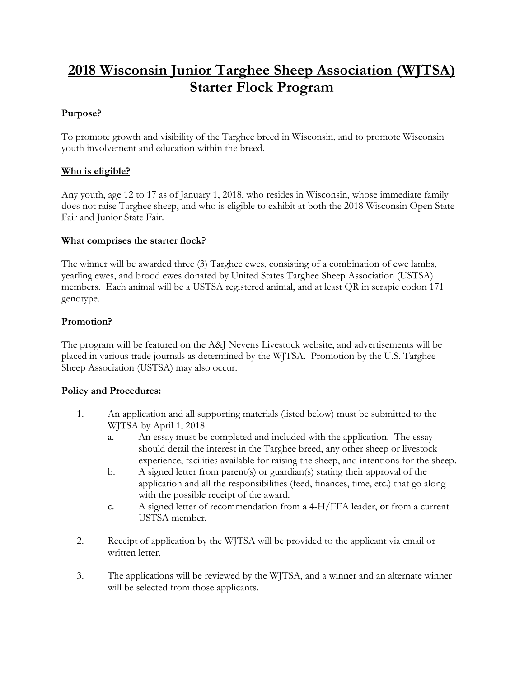# **2018 Wisconsin Junior Targhee Sheep Association (WJTSA) Starter Flock Program**

#### **Purpose?**

To promote growth and visibility of the Targhee breed in Wisconsin, and to promote Wisconsin youth involvement and education within the breed.

## **Who is eligible?**

Any youth, age 12 to 17 as of January 1, 2018, who resides in Wisconsin, whose immediate family does not raise Targhee sheep, and who is eligible to exhibit at both the 2018 Wisconsin Open State Fair and Junior State Fair.

#### **What comprises the starter flock?**

The winner will be awarded three (3) Targhee ewes, consisting of a combination of ewe lambs, yearling ewes, and brood ewes donated by United States Targhee Sheep Association (USTSA) members. Each animal will be a USTSA registered animal, and at least QR in scrapie codon 171 genotype.

## **Promotion?**

The program will be featured on the A&J Nevens Livestock website, and advertisements will be placed in various trade journals as determined by the WJTSA. Promotion by the U.S. Targhee Sheep Association (USTSA) may also occur.

#### **Policy and Procedures:**

- 1. An application and all supporting materials (listed below) must be submitted to the WJTSA by April 1, 2018.
	- a. An essay must be completed and included with the application. The essay should detail the interest in the Targhee breed, any other sheep or livestock experience, facilities available for raising the sheep, and intentions for the sheep.
	- b. A signed letter from parent(s) or guardian(s) stating their approval of the application and all the responsibilities (feed, finances, time, etc.) that go along with the possible receipt of the award.
	- c. A signed letter of recommendation from a 4-H/FFA leader, **or** from a current USTSA member.
- 2. Receipt of application by the WJTSA will be provided to the applicant via email or written letter.
- 3. The applications will be reviewed by the WJTSA, and a winner and an alternate winner will be selected from those applicants.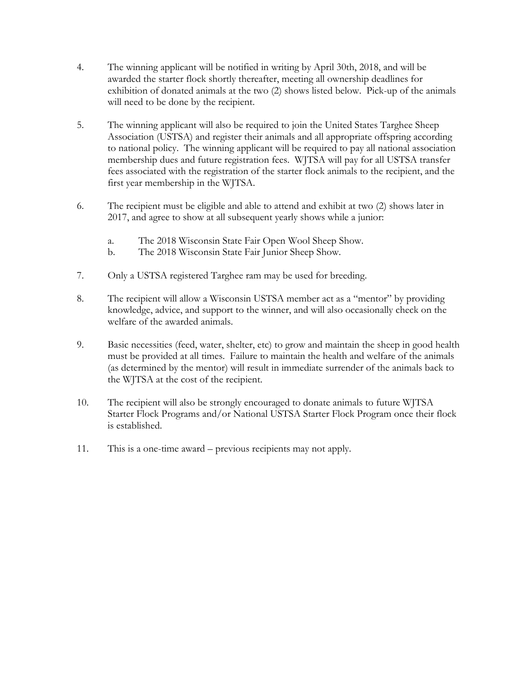- 4. The winning applicant will be notified in writing by April 30th, 2018, and will be awarded the starter flock shortly thereafter, meeting all ownership deadlines for exhibition of donated animals at the two (2) shows listed below. Pick-up of the animals will need to be done by the recipient.
- 5. The winning applicant will also be required to join the United States Targhee Sheep Association (USTSA) and register their animals and all appropriate offspring according to national policy. The winning applicant will be required to pay all national association membership dues and future registration fees. WJTSA will pay for all USTSA transfer fees associated with the registration of the starter flock animals to the recipient, and the first year membership in the WJTSA.
- 6. The recipient must be eligible and able to attend and exhibit at two (2) shows later in 2017, and agree to show at all subsequent yearly shows while a junior:
	- a. The 2018 Wisconsin State Fair Open Wool Sheep Show.
	- b. The 2018 Wisconsin State Fair Junior Sheep Show.
- 7. Only a USTSA registered Targhee ram may be used for breeding.
- 8. The recipient will allow a Wisconsin USTSA member act as a "mentor" by providing knowledge, advice, and support to the winner, and will also occasionally check on the welfare of the awarded animals.
- 9. Basic necessities (feed, water, shelter, etc) to grow and maintain the sheep in good health must be provided at all times. Failure to maintain the health and welfare of the animals (as determined by the mentor) will result in immediate surrender of the animals back to the WJTSA at the cost of the recipient.
- 10. The recipient will also be strongly encouraged to donate animals to future WJTSA Starter Flock Programs and/or National USTSA Starter Flock Program once their flock is established.
- 11. This is a one-time award previous recipients may not apply.